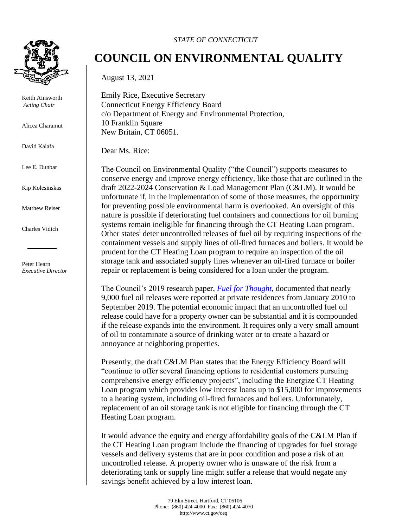

Keith Ainsworth *Acting Chair* 

Alicea Charamut

David Kalafa

Lee E. Dunbar

Kip Kolesinskas

Matthew Reiser

Charles Vidich

Peter Hearn *Executive Director*

## *STATE OF CONNECTICUT*

## **COUNCIL ON ENVIRONMENTAL QUALITY**

August 13, 2021

Emily Rice, Executive Secretary Connecticut Energy Efficiency Board c/o Department of Energy and Environmental Protection, 10 Franklin Square New Britain, CT 06051.

Dear Ms. Rice:

The Council on Environmental Quality ("the Council") supports measures to conserve energy and improve energy efficiency, like those that are outlined in the draft 2022-2024 Conservation & Load Management Plan (C&LM). It would be unfortunate if, in the implementation of some of those measures, the opportunity for preventing possible environmental harm is overlooked. An oversight of this nature is possible if deteriorating fuel containers and connections for oil burning systems remain ineligible for financing through the CT Heating Loan program. Other states<sup>i</sup> deter uncontrolled releases of fuel oil by requiring inspections of the containment vessels and supply lines of oil-fired furnaces and boilers. It would be prudent for the CT Heating Loan program to require an inspection of the oil storage tank and associated supply lines whenever an oil-fired furnace or boiler repair or replacement is being considered for a loan under the program.

The Council's 2019 research paper, *[Fuel for Thought](https://portal.ct.gov/-/media/CEQ/Publications/2019/Fuel-for-Thought--Recommendations-to-Reduce-the-Incidences-and-Severity-of-Accidental-Releases-of-Ho.pdf)*, documented that nearly 9,000 fuel oil releases were reported at private residences from January 2010 to September 2019. The potential economic impact that an uncontrolled fuel oil release could have for a property owner can be substantial and it is compounded if the release expands into the environment. It requires only a very small amount of oil to contaminate a source of drinking water or to create a hazard or annoyance at neighboring properties.

Presently, the draft C&LM Plan states that the Energy Efficiency Board will "continue to offer several financing options to residential customers pursuing comprehensive energy efficiency projects", including the Energize CT Heating Loan program which provides low interest loans up to \$15,000 for improvements to a heating system, including oil-fired furnaces and boilers. Unfortunately, replacement of an oil storage tank is not eligible for financing through the CT Heating Loan program.

It would advance the equity and energy affordability goals of the C&LM Plan if the CT Heating Loan program include the financing of upgrades for fuel storage vessels and delivery systems that are in poor condition and pose a risk of an uncontrolled release. A property owner who is unaware of the risk from a deteriorating tank or supply line might suffer a release that would negate any savings benefit achieved by a low interest loan.